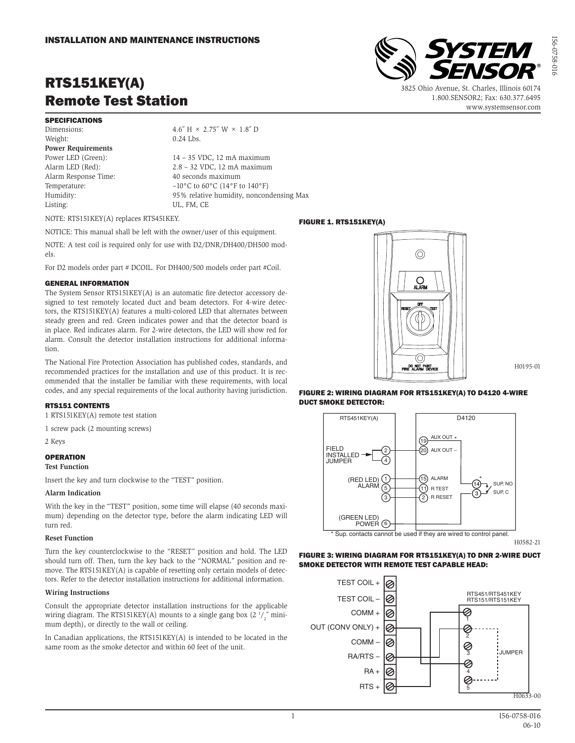# RTS151KEY(A) Remote Test Station

## SPECIFICATIONS

Dimensions:  $4.6'' \text{ H} \times 2.75'' \text{ W} \times 1.8'' \text{ D}$ Weight: 0.24 Lbs. **Power Requirements** Power LED (Green): 14 – 35 VDC, 12 mA maximum<br>Alarm LED (Red): 2.8 – 32 VDC, 12 mA maximum Alarm Response Time: 40 seconds maximum Temperature:  $-10\degree$ C to  $60\degree$ C ( $14\degree$ F to  $140\degree$ F) Listing: UL, FM, CE

 $2.8 - 32$  VDC, 12 mA maximum Humidity: 95% relative humidity, noncondensing Max

NOTE: RTS151KEY(A) replaces RTS451KEY.

NOTICE: This manual shall be left with the owner/user of this equipment.

NOTE: A test coil is required only for use with D2/DNR/DH400/DH500 models.

For D2 models order part # DCOIL. For DH400/500 models order part #Coil.

### GENERAL INFORMATION

The System Sensor RTS151KEY(A) is an automatic fire detector accessory designed to test remotely located duct and beam detectors. For 4-wire detectors, the RTS151KEY(A) features a multi-colored LED that alternates between steady green and red. Green indicates power and that the detector board is in place. Red indicates alarm. For 2-wire detectors, the LED will show red for alarm. Consult the detector installation instructions for additional information.

The National Fire Protection Association has published codes, standards, and recommended practices for the installation and use of this product. It is recommended that the installer be familiar with these requirements, with local codes, and any special requirements of the local authority having jurisdiction.

### RTS151 CONTENTS

1 RTS151KEY(A) remote test station

1 screw pack (2 mounting screws)

2 Keys

### **OPERATION**

### **Test Function**

Insert the key and turn clockwise to the "TEST" position.

### **Alarm Indication**

With the key in the "TEST" position, some time will elapse (40 seconds maximum) depending on the detector type, before the alarm indicating LED will turn red.

### **Reset Function**

Turn the key counterclockwise to the "RESET" position and hold. The LED should turn off. Then, turn the key back to the "NORMAL" position and remove. The RTS151KEY(A) is capable of resetting only certain models of detectors. Refer to the detector installation instructions for additional information.

### **Wiring Instructions**

Consult the appropriate detector installation instructions for the applicable wiring diagram. The RTS151KEY(A) mounts to a single gang box  $(2\frac{1}{2})$ <sup>"</sup> minimum depth), or directly to the wall or ceiling.

In Canadian applications, the RTS151KEY(A) is intended to be located in the same room as the smoke detector and within 60 feet of the unit.

# **PO NOT PAN** FIGURE 2: WIRING DIAGRAM FOR RTS151KEY(A) TO D4120 4-WIRE DUCT SMOKE DETECTOR:



H0582-21

H0195-01

### FIGURE 3: WIRING DIAGRAM FOR RTS151KEY(A) TO DNR 2-WIRE DUCT SMOKE DETECTOR WITH REMOTE TEST CAPABLE HEAD:



3825 Ohio Avenue, St. Charles, Illinois 60174 1.800.SENSOR2; Fax: 630.377.6495 www.systemsensor.com





FIGURE 1. RTS151KEY(A)